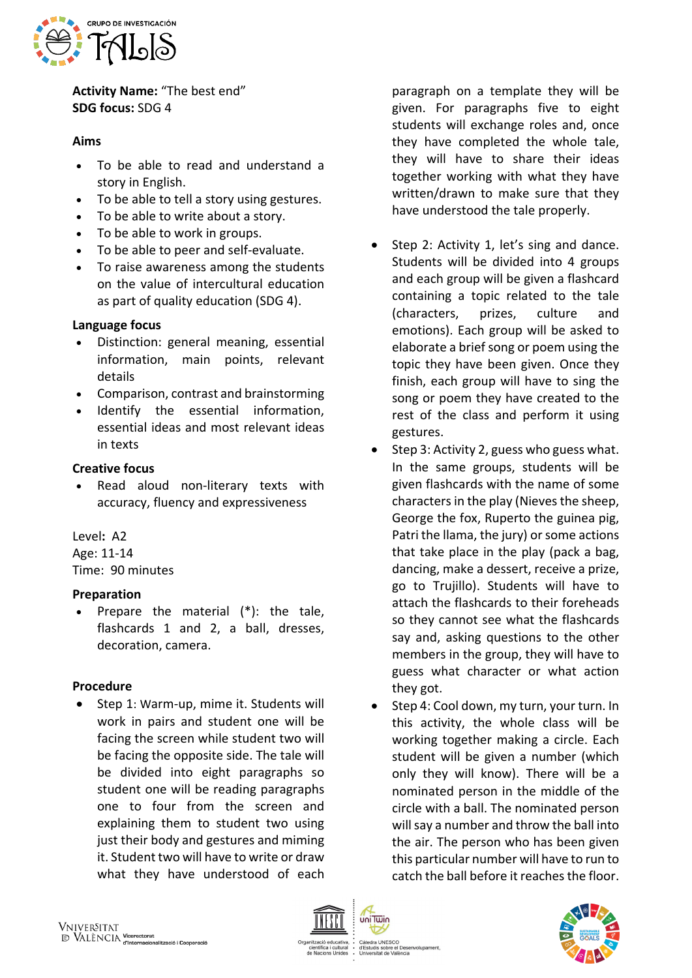

**Activity Name:** "The best end" **SDG focus:** SDG 4

#### **Aims**

- To be able to read and understand a story in English.
- To be able to tell a story using gestures.
- To be able to write about a story.
- To be able to work in groups.
- To be able to peer and self-evaluate.
- To raise awareness among the students on the value of intercultural education as part of quality education (SDG 4).

## **Language focus**

- Distinction: general meaning, essential information, main points, relevant details
- Comparison, contrast and brainstorming
- Identify the essential information. essential ideas and most relevant ideas in texts

#### **Creative focus**

Read aloud non-literary texts with accuracy, fluency and expressiveness

Level**:** A2 Age: 11-14

Time: 90 minutes

## **Preparation**

• Prepare the material (\*): the tale, flashcards 1 and 2, a ball, dresses, decoration, camera.

## **Procedure**

Step 1: Warm-up, mime it. Students will work in pairs and student one will be facing the screen while student two will be facing the opposite side. The tale will be divided into eight paragraphs so student one will be reading paragraphs one to four from the screen and explaining them to student two using just their body and gestures and miming it. Student two will have to write or draw what they have understood of each

paragraph on a template they will be given. For paragraphs five to eight students will exchange roles and, once they have completed the whole tale, they will have to share their ideas together working with what they have written/drawn to make sure that they have understood the tale properly.

- Step 2: Activity 1, let's sing and dance. Students will be divided into 4 groups and each group will be given a flashcard containing a topic related to the tale (characters, prizes, culture and emotions). Each group will be asked to elaborate a brief song or poem using the topic they have been given. Once they finish, each group will have to sing the song or poem they have created to the rest of the class and perform it using gestures.
- Step 3: Activity 2, guess who guess what. In the same groups, students will be given flashcards with the name of some characters in the play (Nievesthe sheep, George the fox, Ruperto the guinea pig, Patri the llama, the jury) or some actions that take place in the play (pack a bag, dancing, make a dessert, receive a prize, go to Trujillo). Students will have to attach the flashcards to their foreheads so they cannot see what the flashcards say and, asking questions to the other members in the group, they will have to guess what character or what action they got.
- Step 4: Cool down, my turn, your turn. In this activity, the whole class will be working together making a circle. Each student will be given a number (which only they will know). There will be a nominated person in the middle of the circle with a ball. The nominated person will say a number and throw the ball into the air. The person who has been given this particular number will have to run to catch the ball before it reaches the floor.



uis sobre el Des<br>sitat de València

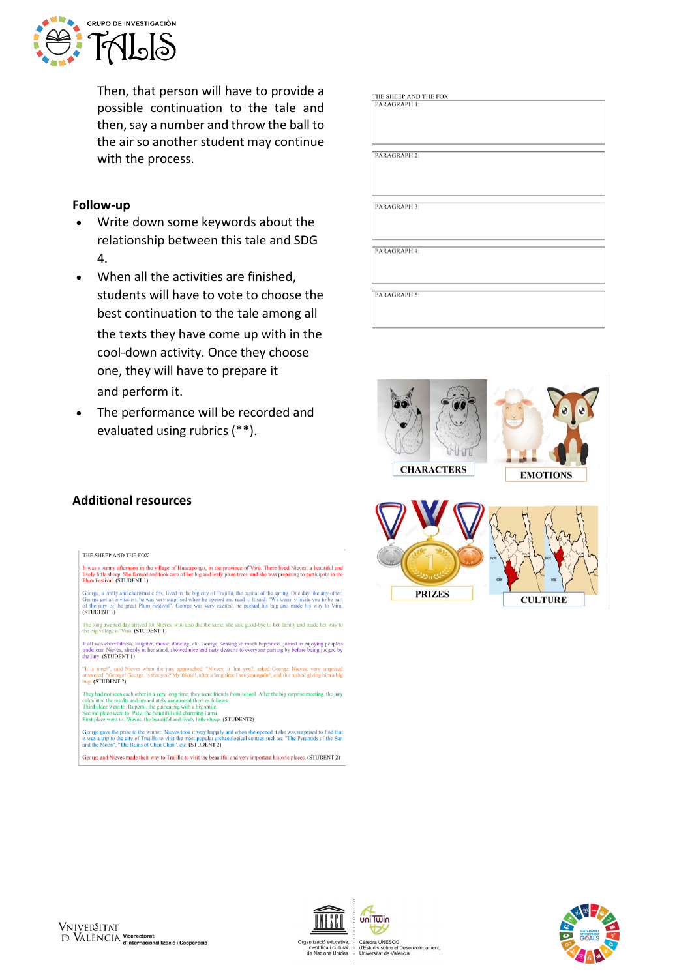

Then, that person will have to provide a possible continuation to the tale and then, say a number and throw the ball to the air so another student may continue with the process.

#### **Follow-up**

- Write down some keywords about the relationship between this tale and SDG 4.
- When all the activities are finished. students will have to vote to choose the best continuation to the tale among all the texts they have come up with in the cool-down activity. Once they choose one, they will have to prepare it and perform it.
- The performance will be recorded and evaluated using rubrics (\*\*).

## **Additional resources**

#### THE SHEEP AND THE FOX

The Studier AND The FOX<br>It was a summy afternoon in the village of Huacapongo, in the province of Virú. There lived Nieves, a beautiful and<br>It ively little sheep. She farmed and took care of her big and leafy plum trees, a

George, a crafty and charismatic fox, lived in the big city of Trujillo, the capital of the spring. One day like any other, George got an invitation, he was very surprised when he opened and read it. It said: "We warmly in (STUDENT 1)

The long awaited day arrived for Nieves, who also did the same; she said good-bye to her family and made her way to the big village of Virú. (STUDENT 1)

the oig vitage of viru. (STODENT 1)<br>It all was cheerfulness, laughter, music, dancing, etc. George, sensing so much happiness, joined in enjoying people's<br>traditions. Nieves, already in her stand, showed nice and tasty des

"It is time!", said Nieves when the jury approached. "Nieves, it that you?, asked George. Nieves, very surprised answered: "George! George, is that you? My friend!, after a long time I see you again", and she rushed giving answered: "George!<br>hug. (STUDENT 2)

They had not seen each other in a very long time; they were friends from school. After the big surprise meeting, the jury calculated the results and immediately announced them as follows:<br>Third place went to: Ruptich (be g

George gave the prize to the winner. Nieves took it very happily and when she opened it she was surprised to find that<br>it was a trip to the city of Trujillo to visit the most popular archaeological centres such as: "The Py it was a trip to the city of Trujillo to visit the most popular arch<br>and the Moon", "The Ruins of Chan Chan", etc. (STUDENT 2)

George and Nieves made their way to Trujillo to visit the beautiful and very important historic places. (STUDENT 2)

| THE SHEEP AND THE FOX |
|-----------------------|
| <b>PARAGRAPH 1:</b>   |
|                       |
|                       |
|                       |
|                       |
|                       |
|                       |
| PARAGRAPH 2:          |
|                       |
|                       |
|                       |
|                       |
|                       |
| <b>PARAGRAPH 3:</b>   |
|                       |
|                       |
|                       |
|                       |
|                       |
| PARAGRAPH 4:          |
|                       |
|                       |
|                       |
|                       |
|                       |
| <b>PARAGRAPH 5:</b>   |
|                       |
|                       |
|                       |
|                       |





Càtedra UNESCO<br>d'Estudis sobre el Desenvolupament,<br>Universitat de València

uni Twin